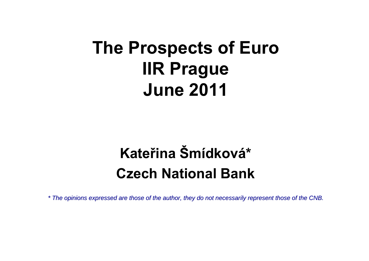# **The Prospects of Euro IIR Prague June 2011**

# **Kateřina Šmídková\*Czech National Bank**

*\* The opinions expressed The opinions expressed are those of the aut those of the author, they do not nece hor, they do not necessarily represent those of the CNB. ssarily represent those of the CNB.*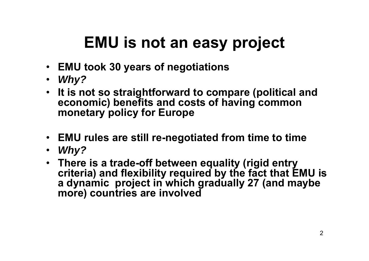# **EMU is not an easy project**

- **EMU took 30 years of negotiations**
- *Why?*
- **It is not so straightforward to compare (political and economic) benefits and costs of having common monetary policy for Europe**
- **EMU rules are still re-negotiated from time to time**
- *Why?*
- **There is a trade-off between equality (rigid entry criteria) and flexibility required by the fact that EMU is a dynamic project in which gradually 27 (and maybe more) countries are involved**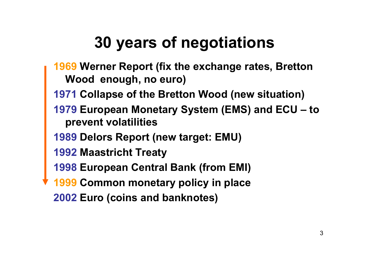# **30 years of negotiations**

- **Werner Report (fix the exchange rates, Bretton Wood enough, no euro)**
- **Collapse of the Bretton Wood (new situation)**
- **European Monetary System (EMS) and ECU – to prevent volatilities**
- **1989 Delors Report (new target: EMU)**
- **Maastricht Treaty**
- **European Central Bank (from EMI)**
- **Common monetary policy in place**
- **Euro (coins and banknotes)**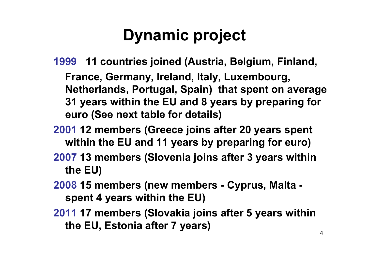# **Dynamic project**

- **1999 11 countries joined (Austria, Belgium, Finland, France, Germany, Ireland, Italy, Luxembourg, Netherlands, Portugal, Spain) that spent on average 31 years within the EU and 8 years by preparing for euro (See next table for details)**
- **2001 12 members (Greece joins after 20 years spent within the EU and 11 years by preparing for euro)**
- **2007 13 members (Slovenia joins after 3 years within the EU)**
- **2008 15 members (new members - Cyprus, Malta spent 4 years within the EU)**
- **2011 17 members (Slovakia joins after 5 years within the EU, Estonia after 7 years)**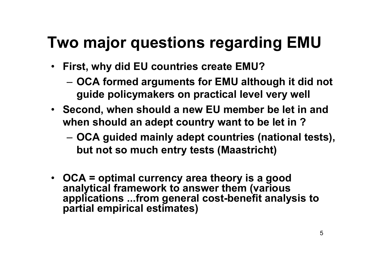### **Two major questions regarding EMU**

- $\bullet$  **First, why did EU countries create EMU?**
	- – **OCA formed arguments for EMU although it did not guide policymakers on practical level very well**
- **Second, when should a new EU member be let in and when should an adept country want to be let in ?**
	- – **OCA guided mainly adept countries (national tests), but not so much entry tests (Maastricht)**
- **OCA = optimal currency area theory is a good analytical framework to answer them (various applications ...from general cost-benefit analysis to partial empirical estimates)**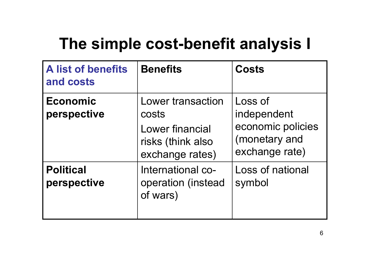### **The simple cost-benefit analysis I**

| <b>A list of benefits</b><br>and costs | <b>Benefits</b>                                                                       | <b>Costs</b>                                                                   |
|----------------------------------------|---------------------------------------------------------------------------------------|--------------------------------------------------------------------------------|
| <b>Economic</b><br>perspective         | Lower transaction<br>costs<br>Lower financial<br>risks (think also<br>exchange rates) | Loss of<br>independent<br>economic policies<br>(monetary and<br>exchange rate) |
| <b>Political</b><br>perspective        | International co-<br>operation (instead<br>of wars)                                   | Loss of national<br>symbol                                                     |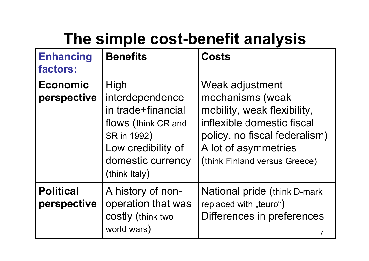# **The simple cost-benefit analysis**

| <b>Enhancing</b><br>factors:    | <b>Benefits</b>                                                                                                                                 | <b>Costs</b>                                                                                                                                                                               |
|---------------------------------|-------------------------------------------------------------------------------------------------------------------------------------------------|--------------------------------------------------------------------------------------------------------------------------------------------------------------------------------------------|
| <b>Economic</b><br>perspective  | High<br>interdependence<br>in trade+financial<br>flows (think CR and<br>SR in 1992)<br>Low credibility of<br>domestic currency<br>(think Italy) | Weak adjustment<br>mechanisms (weak<br>mobility, weak flexibility,<br>inflexible domestic fiscal<br>policy, no fiscal federalism)<br>A lot of asymmetries<br>(think Finland versus Greece) |
| <b>Political</b><br>perspective | A history of non-<br>operation that was<br>costly (think two<br>world wars)                                                                     | National pride (think D-mark<br>replaced with "teuro")<br>Differences in preferences                                                                                                       |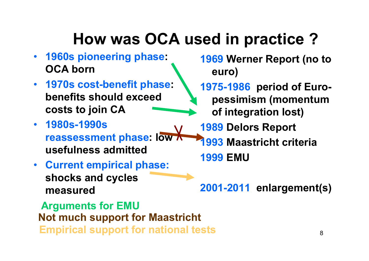# **How was OCA used in practice ?**

- **1960s pioneering phase: OCA born**
- **1970s cost-benefit phase: benefits should exceed costs to join CA**
- **1980s-1990s reassessment phase: low usefulness admitted**
- **Current empirical phase: shocks and cycles measured**

**Empirical support for national tests Arguments for EMU Not much support for Maastricht**

**1969 Werner Report (no to euro)**

**1975-1986 period of Europessimism (momentum of integration lost)**

**1989 Delors Report**

**1993 Maastricht criteria 1999 EMU**

**2001-2011 enlargement(s)**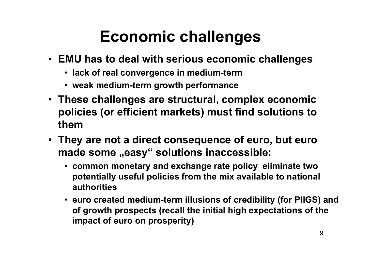# **Economic challenges**

- **EMU has to deal with serious economic challenges**
	- **lack of real convergence in medium-term**
	- **weak medium-term growth performance**
- **These challenges are structural, complex economic policies (or efficient markets) must find solutions to them**
- **They are not a direct consequence of euro, but euro made some "easy" solutions inaccessible:** 
	- **common monetary and exchange rate policy eliminate two potentially useful policies from the mix available to national authorities**
	- **euro created medium-term illusions of credibility (for PIIGS) and of growth prospects (recall the initial high expectations of the impact of euro on prosperity)**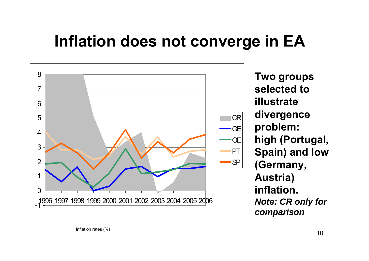### **Inflation does not converge in EA**



**Two groups selected to illustrate divergence problem: high (Portugal, Spain) and low (Germany, Austria) inflation.***Note: CR only for comparison*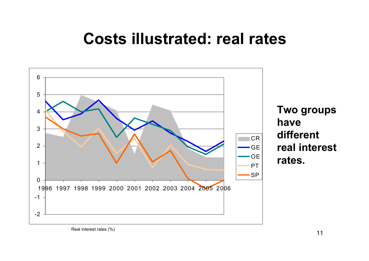### **Costs illustrated: real rates**



Real interest rates (%)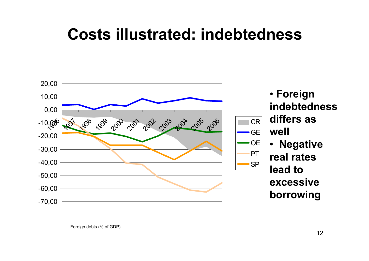### **Costs illustrated: indebtedness**



Foreign debts (% of GDP)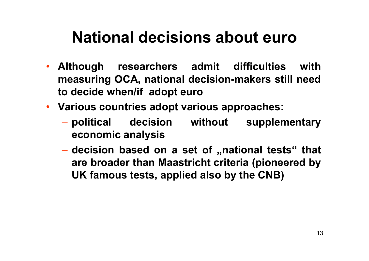### **National decisions about euro**

- Although **Although researchers admit difficulties with measuring OCA, national decision-makers still need to decide when/if adopt euro**
- **Various countries adopt various approaches:** 
	- political decision without supplementary **economic analysis**
	- $\mathcal{L}_{\mathcal{A}}$  , the state of the state  $\mathcal{L}_{\mathcal{A}}$  **decision based on a set of "national tests" that are broader than Maastricht criteria (pioneered by UK famous tests, applied also by the CNB)**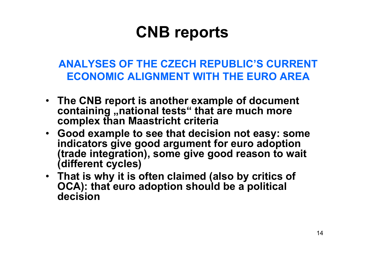### **CNB reports**

**ANALYSES OF THE CZECH REPUBLIC'S CURRENTECONOMIC ALIGNMENT WITH THE EURO AREA**

- **The CNB report is another example of document containing "national tests" that are much more complex than Maastricht criteria**
- **Good example to see that decision not easy: some indicators give good argument for euro adoption (trade integration), some give good reason to wait (different cycles)**
- **That is why it is often claimed (also by critics of OCA): that euro adoption should be a political decision**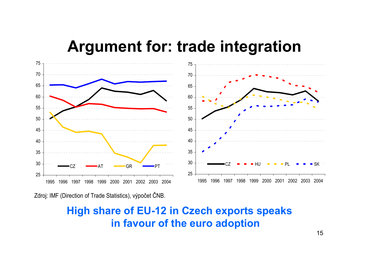#### **Argument for: trade integration**



Zdroj: IMF (Direction of Trade Statistics), výpo čet ČNB.

#### **High share of EU-12 in Czech exports speaks in favour of the euro adoption**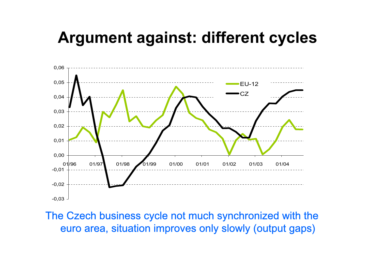### **Argument against: different cycles**



The Czech business cycle not much synchronized with the euro area, situation improves only slowly (output gaps)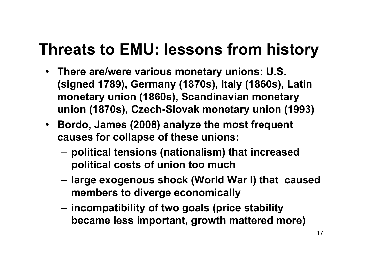### **Threats to EMU: lessons from history**

- **There are/were various monetary unions: U.S. (signed 1789), Germany (1870s), Italy (1860s), Latin monetary union (1860s), Scandinavian monetary union (1870s), Czech-Slovak monetary union (1993)**
- **Bordo, James (2008) analyze the most frequent causes for collapse of these unions:**
	- – **political tensions (nationalism) that increased political costs of union too much**
	- – **large exogenous shock (World War I) that caused members to diverge economically**
	- – **incompatibility of two goals (price stability became less important, growth mattered more)**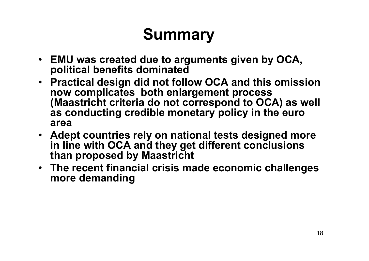# **Summary**

- **EMU was created due to arguments given by OCA, political benefits dominated**
- **Practical design did not follow OCA and this omission now complicates both enlargement process (Maastricht criteria do not correspond to OCA) as well as conducting credible monetary policy in the euro area**
- **Adept countries rely on national tests designed more in line with OCA and they get different conclusions than proposed by Maastricht**
- **The recent financial crisis made economic challenges more demanding**